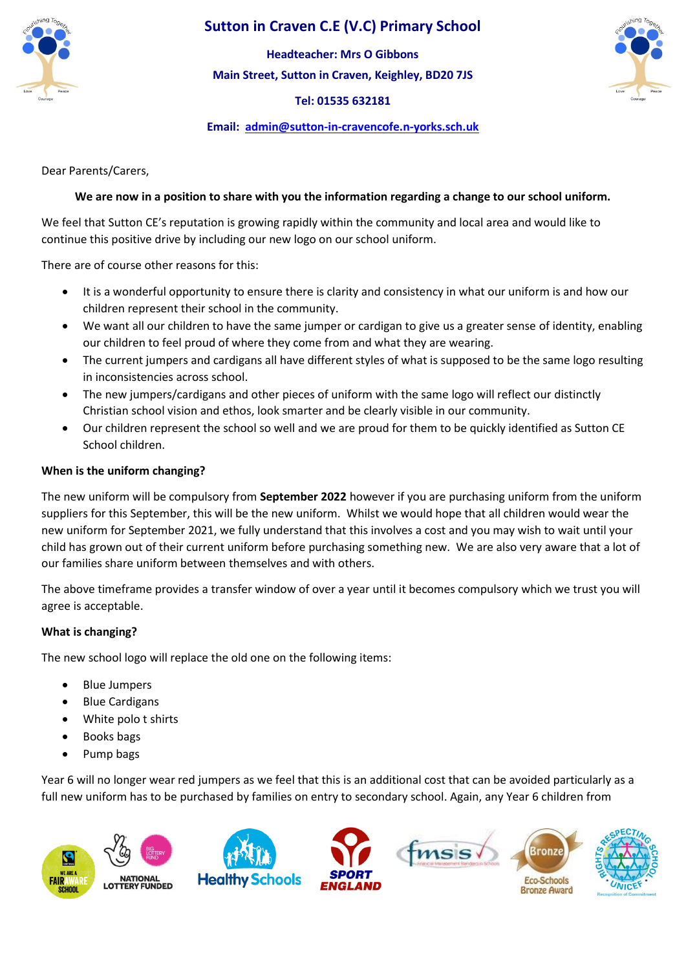

# **Sutton in Craven C.E (V.C) Primary School**

**Main Street, Sutton in Craven, Keighley, BD20 7JS Headteacher: Mrs O Gibbons**

**Tel: 01535 632181** 

**Email: [admin@sutton-in-cravencofe.n-yorks.sch.uk](mailto:admin@sutton-in-cravencofe.n-yorks.sch.uk)**

Dear Parents/Carers,

### **We are now in a position to share with you the information regarding a change to our school uniform.**

We feel that Sutton CE's reputation is growing rapidly within the community and local area and would like to continue this positive drive by including our new logo on our school uniform.

There are of course other reasons for this:

- It is a wonderful opportunity to ensure there is clarity and consistency in what our uniform is and how our children represent their school in the community.
- We want all our children to have the same jumper or cardigan to give us a greater sense of identity, enabling our children to feel proud of where they come from and what they are wearing.
- The current jumpers and cardigans all have different styles of what is supposed to be the same logo resulting in inconsistencies across school.
- The new jumpers/cardigans and other pieces of uniform with the same logo will reflect our distinctly Christian school vision and ethos, look smarter and be clearly visible in our community.
- Our children represent the school so well and we are proud for them to be quickly identified as Sutton CE School children.

### **When is the uniform changing?**

The new uniform will be compulsory from **September 2022** however if you are purchasing uniform from the uniform suppliers for this September, this will be the new uniform. Whilst we would hope that all children would wear the new uniform for September 2021, we fully understand that this involves a cost and you may wish to wait until your child has grown out of their current uniform before purchasing something new. We are also very aware that a lot of our families share uniform between themselves and with others.

The above timeframe provides a transfer window of over a year until it becomes compulsory which we trust you will agree is acceptable.

#### **What is changing?**

The new school logo will replace the old one on the following items:

- Blue Jumpers
- Blue Cardigans
- White polo t shirts
- Books bags
- Pump bags

Year 6 will no longer wear red jumpers as we feel that this is an additional cost that can be avoided particularly as a full new uniform has to be purchased by families on entry to secondary school. Again, any Year 6 children from

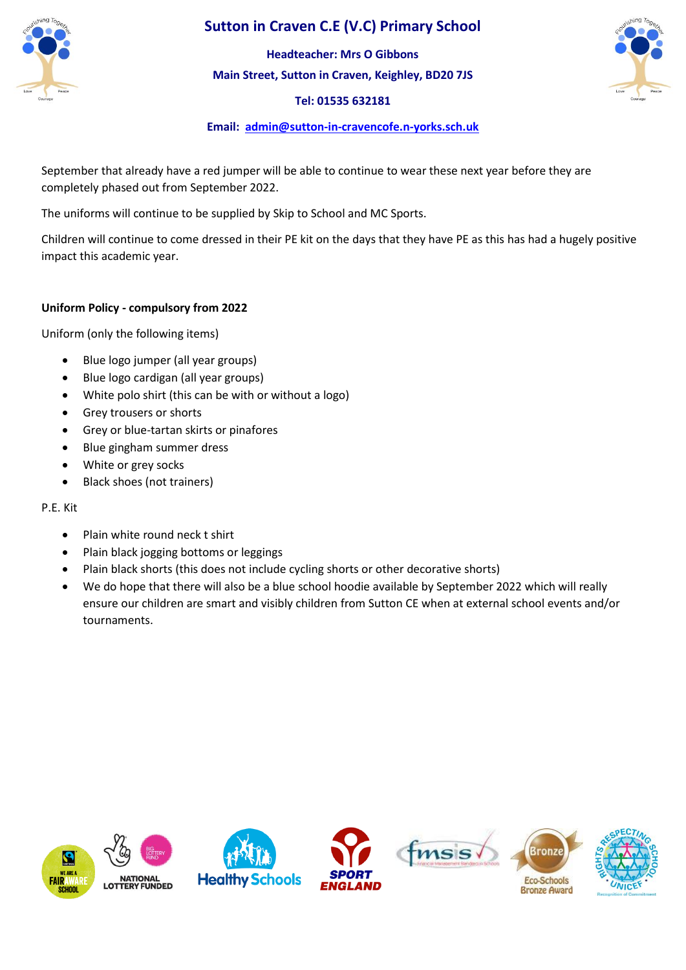

# **Sutton in Craven C.E (V.C) Primary School**

**Main Street, Sutton in Craven, Keighley, BD20 7JS Headteacher: Mrs O Gibbons**

**Tel: 01535 632181** 



### **Email: [admin@sutton-in-cravencofe.n-yorks.sch.uk](mailto:admin@sutton-in-cravencofe.n-yorks.sch.uk)**

September that already have a red jumper will be able to continue to wear these next year before they are completely phased out from September 2022.

The uniforms will continue to be supplied by Skip to School and MC Sports.

Children will continue to come dressed in their PE kit on the days that they have PE as this has had a hugely positive impact this academic year.

### **Uniform Policy - compulsory from 2022**

Uniform (only the following items)

- Blue logo jumper (all year groups)
- Blue logo cardigan (all year groups)
- White polo shirt (this can be with or without a logo)
- Grey trousers or shorts
- Grey or blue-tartan skirts or pinafores
- Blue gingham summer dress
- White or grey socks
- Black shoes (not trainers)

#### P.E. Kit

- Plain white round neck t shirt
- Plain black jogging bottoms or leggings
- Plain black shorts (this does not include cycling shorts or other decorative shorts)
- We do hope that there will also be a blue school hoodie available by September 2022 which will really ensure our children are smart and visibly children from Sutton CE when at external school events and/or tournaments.